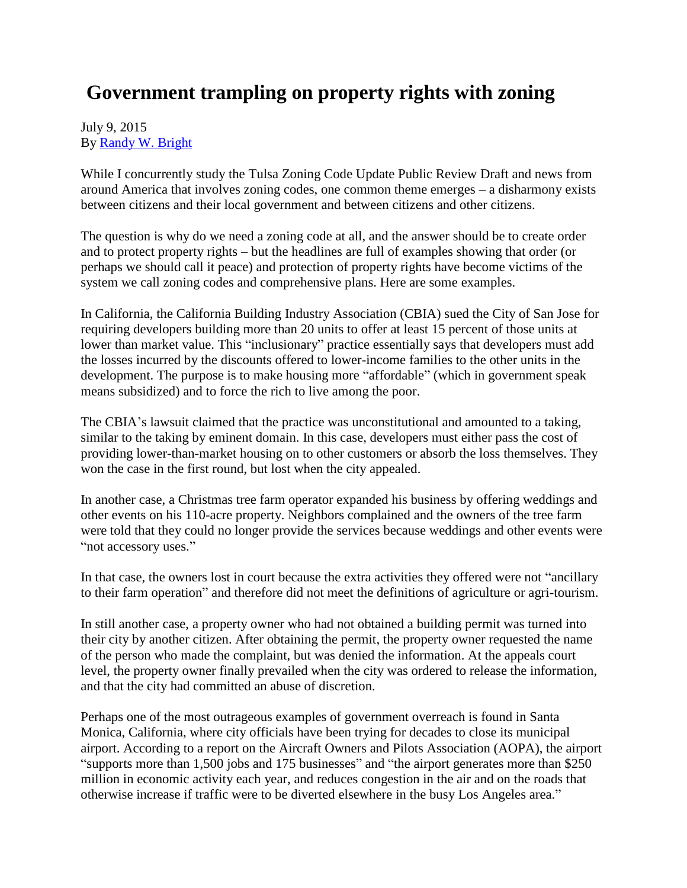## **Government trampling on property rights with zoning**

## July 9, 2015 By [Randy W. Bright](http://www.tulsabeacon.com/author/slug-o6yd1v)

While I concurrently study the Tulsa Zoning Code Update Public Review Draft and news from around America that involves zoning codes, one common theme emerges – a disharmony exists between citizens and their local government and between citizens and other citizens.

The question is why do we need a zoning code at all, and the answer should be to create order and to protect property rights – but the headlines are full of examples showing that order (or perhaps we should call it peace) and protection of property rights have become victims of the system we call zoning codes and comprehensive plans. Here are some examples.

In California, the California Building Industry Association (CBIA) sued the City of San Jose for requiring developers building more than 20 units to offer at least 15 percent of those units at lower than market value. This "inclusionary" practice essentially says that developers must add the losses incurred by the discounts offered to lower-income families to the other units in the development. The purpose is to make housing more "affordable" (which in government speak means subsidized) and to force the rich to live among the poor.

The CBIA's lawsuit claimed that the practice was unconstitutional and amounted to a taking, similar to the taking by eminent domain. In this case, developers must either pass the cost of providing lower-than-market housing on to other customers or absorb the loss themselves. They won the case in the first round, but lost when the city appealed.

In another case, a Christmas tree farm operator expanded his business by offering weddings and other events on his 110-acre property. Neighbors complained and the owners of the tree farm were told that they could no longer provide the services because weddings and other events were "not accessory uses."

In that case, the owners lost in court because the extra activities they offered were not "ancillary to their farm operation" and therefore did not meet the definitions of agriculture or agri-tourism.

In still another case, a property owner who had not obtained a building permit was turned into their city by another citizen. After obtaining the permit, the property owner requested the name of the person who made the complaint, but was denied the information. At the appeals court level, the property owner finally prevailed when the city was ordered to release the information, and that the city had committed an abuse of discretion.

Perhaps one of the most outrageous examples of government overreach is found in Santa Monica, California, where city officials have been trying for decades to close its municipal airport. According to a report on the Aircraft Owners and Pilots Association (AOPA), the airport "supports more than 1,500 jobs and 175 businesses" and "the airport generates more than \$250 million in economic activity each year, and reduces congestion in the air and on the roads that otherwise increase if traffic were to be diverted elsewhere in the busy Los Angeles area."